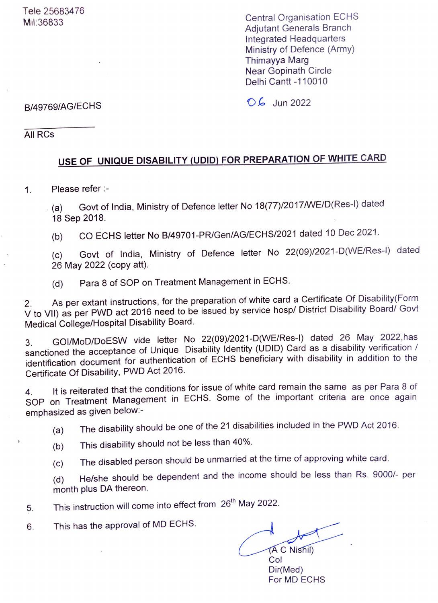Central Organisation ECHS Adjutant Generals Branch Integrated Headquarters Ministry of Defence (Army) Thimayya Marg Near Gopinath Circle Delhi Cantt -110010

## B/49769/AG/ECHS 06 Jun 2022

All RCs

## USE OF UNIQUE DISABILITY (UDID) FOR PREPARATION OF WHITE CARD

1. Please refer :-

(a) Govt of India, Ministry of Defence letter No 18(77)/2017/WE/D(Res-I) dated 18 Sep 2018.

(b) CO ECHS letter No B/49701-PR/Gen/AG/ECHS/2021 dated 10 Dec 2021.

(c) Govt of India, Ministry of Defence letter No 22(09)/2021-D(WE/Res-l) dated (c) 26 May 2022 (copy att).

(d) Para 8 of SOP on Treatment Management in ECHS.

As per extant instructions, for the preparation of white card a Certificate Of Disability(Form 2. As per extant instructions, for the preparation of write card a definicate of Bioability (Ferric<br>V to VII) as per PWD act 2016 need to be issued by service hosp/ District Disability Board/ Govt Medical College/Hospital Disability Board.

3. GO/MoD/DoESW vide letter No 22(09)/2021-D(WE/Res-I) dated 26 May 2022,has sanctioned the acceptance of Unique Disability Identity (UDID) Card as a disability verification / identification document for authentication of ECHS beneficiary with disability in addition to the Certificate Of Disability, PWD Act 2016.

It is reiterated that the conditions for issue of white card remain the same as per Para 8 of 4. It is reiterated that the conditions for issue of write early remain the early dependence on<br>SOP on Treatment Management in ECHS. Some of the important criteria are once again emphasized as given beloW.-

(a) The disability should be one of the 21 disabilities included in the PWD Act 2016.

- (b) This disability should not be less than 40%.
- (c) The disabled person should be unmarried at the time of approving white card.

(d) He/she should be dependent and the income should be less than Rs. 9000/- per month plus DA thereon.

This instruction will come into effect from 26<sup>th</sup> May 2022. 5.

6 This has the approval of MD ECHS.

AC Nishil)

Col Dir(Med) For MD ECHS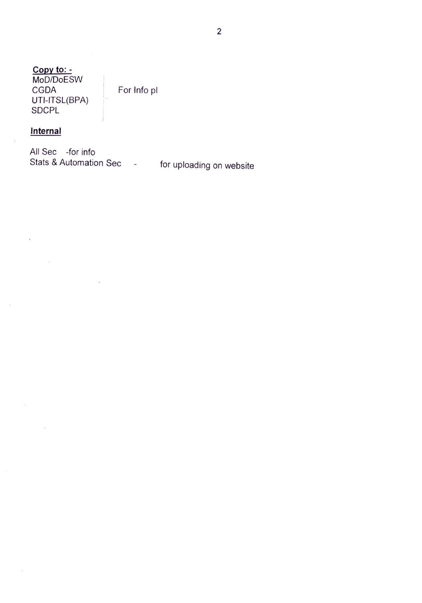Copy to: <u>.</u><br>MoD/DoESW<br>CGDA UTI-ITSL(BPA) SDCPL

For Info pl

## **Internal**

 $\lambda$ 

All Sec -for info Stats & Automation Sec - for uploading on website